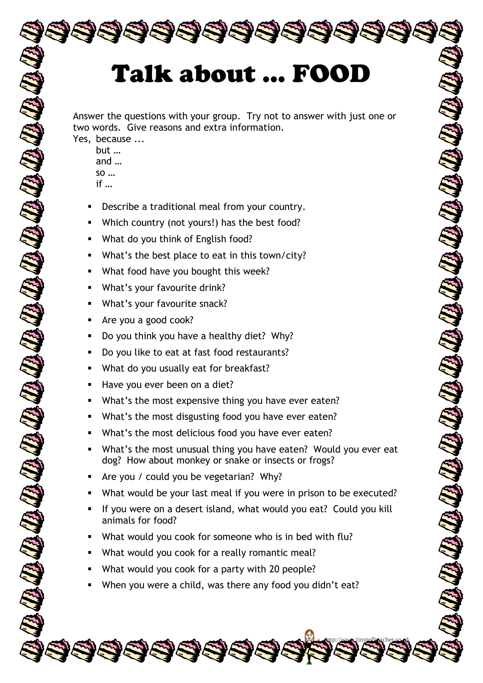## Talk about ... FOOD

En la Company de la Company de la

Answer the questions with your group. Try not to answer with just one or two words. Give reasons and extra information.

- Yes, because ... but … and … so … if …
	- Describe a traditional meal from your country.
	- Which country (not yours!) has the best food?
	- What do you think of English food?
	- What's the best place to eat in this town/city?
	- What food have you bought this week?
	- What's your favourite drink?
	- What's your favourite snack?
	- Are you a good cook?
	- Do you think you have a healthy diet? Why?
	- Do you like to eat at fast food restaurants?
	- What do you usually eat for breakfast?
	- Have you ever been on a diet?
	- What's the most expensive thing you have ever eaten?
	- What's the most disgusting food you have ever eaten?
	- What's the most delicious food you have ever eaten?
	- What's the most unusual thing you have eaten? Would you ever eat dog? How about monkey or snake or insects or frogs?
	- Are you / could you be vegetarian? Why?
	- What would be your last meal if you were in prison to be executed?
	- If you were on a desert island, what would you eat? Could you kill animals for food?

http://www.tinytefltoacher.co.uk

all the way of the first contract of the

- What would you cook for someone who is in bed with flu?
- What would you cook for a really romantic meal?
- What would you cook for a party with 20 people?
- When you were a child, was there any food you didn't eat?